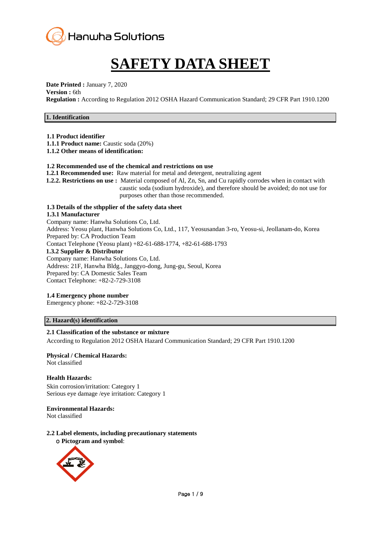

# **SAFETY DATA SHEET**

**Date Printed :** January 7, 2020 **Version :** 6th **Regulation :** According to Regulation 2012 OSHA Hazard Communication Standard; 29 CFR Part 1910.1200

#### **1. Identification**

**1.1 Product identifier**

**1.1.1 Product name:** Caustic soda (20%)

**1.1.2 Other means of identification:**

#### **1.2 Recommended use of the chemical and restrictions on use**

**1.2.1 Recommended use:** Raw material for metal and detergent, neutralizing agent

**1.2.2. Restrictions on use :** Material composed of Al, Zn, Sn, and Cu rapidly corrodes when in contact with caustic soda (sodium hydroxide), and therefore should be avoided; do not use for purposes other than those recommended.

# **1.3 Details of the sthpplier of the safety data sheet**

**1.3.1 Manufacturer** Company name: Hanwha Solutions Co, Ltd. Address: Yeosu plant, Hanwha Solutions Co, Ltd., 117, Yeosusandan 3-ro, Yeosu-si, Jeollanam-do, Korea Prepared by: CA Production Team Contact Telephone (Yeosu plant) +82-61-688-1774, +82-61-688-1793 **1.3.2 Supplier & Distributor** Company name: Hanwha Solutions Co, Ltd. Address: 21F, Hanwha Bldg., Janggyo-dong, Jung-gu, Seoul, Korea Prepared by: CA Domestic Sales Team Contact Telephone: +82-2-729-3108

#### **1.4 Emergency phone number**

Emergency phone: +82-2-729-3108

#### **2. Hazard(s) identification**

#### **2.1 Classification of the substance or mixture**

According to Regulation 2012 OSHA Hazard Communication Standard; 29 CFR Part 1910.1200

## **Physical / Chemical Hazards:**

Not classified

#### **Health Hazards:**

Skin corrosion/irritation: Category 1 Serious eye damage /eye irritation: Category 1

#### **Environmental Hazards:**

Not classified

#### **2.2 Label elements, including precautionary statements** ο **Pictogram and symbol**:

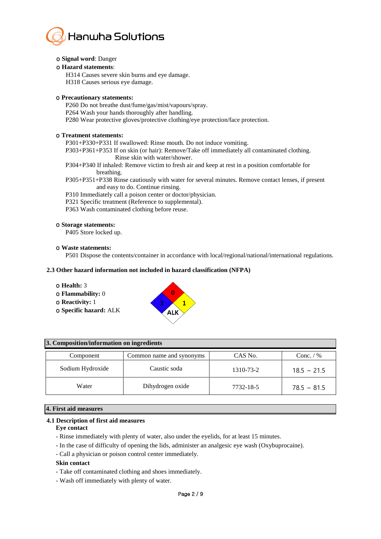

#### ο **Signal word**: Danger

#### ο **Hazard statements**:

H314 Causes severe skin burns and eye damage. H318 Causes serious eye damage.

#### ο **Precautionary statements:**

P260 Do not breathe dust/fume/gas/mist/vapours/spray. P264 Wash your hands thoroughly after handling. P280 Wear protective gloves/protective clothing/eye protection/face protection.

#### ο **Treatment statements:**

P301+P330+P331 If swallowed: Rinse mouth. Do not induce vomiting.

P303+P361+P353 If on skin (or hair): Remove/Take off immediately all contaminated clothing. Rinse skin with water/shower.

- P304+P340 If inhaled: Remove victim to fresh air and keep at rest in a position comfortable for breathing.
- P305+P351+P338 Rinse cautiously with water for several minutes. Remove contact lenses, if present and easy to do. Continue rinsing.
- P310 Immediately call a poison center or doctor/physician.
- P321 Specific treatment (Reference to supplemental).
- P363 Wash contaminated clothing before reuse.

#### ο **Storage statements:**

P405 Store locked up.

#### ο **Waste statements:**

P501 Dispose the contents/container in accordance with local/regional/national/international regulations.

#### **2.3 Other hazard information not included in hazard classification (NFPA)**

- ο **Health:** 3
- ο **Flammability:** 0
- ο **Reactivity:** 1
- ο **Specific hazard:** ALK



#### **3. Composition/information on ingredients**

| Component        | Common name and synonyms | CAS No.   | Conc. $/$ %      |
|------------------|--------------------------|-----------|------------------|
| Sodium Hydroxide | Caustic soda             | 1310-73-2 | $18.5 \sim 21.5$ |
| Water            | Dihydrogen oxide         | 7732-18-5 | $78.5 \sim 81.5$ |

#### **4. First aid measures**

#### **4.1 Description of first aid measures**

#### **Eye contact**

- Rinse immediately with plenty of water, also under the eyelids, for at least 15 minutes.
- In the case of difficulty of opening the lids, administer an analgesic eye wash (Oxybuprocaine).
- Call a physician or poison control center immediately.

#### **Skin contact**

- Take off contaminated clothing and shoes immediately.
- Wash off immediately with plenty of water.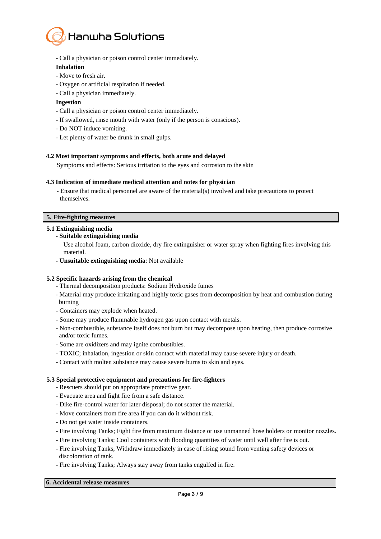

- Call a physician or poison control center immediately.

#### **Inhalation**

- Move to fresh air.
- Oxygen or artificial respiration if needed.
- Call a physician immediately.

#### **Ingestion**

- Call a physician or poison control center immediately.
- If swallowed, rinse mouth with water (only if the person is conscious).
- Do NOT induce vomiting.
- Let plenty of water be drunk in small gulps.

#### **4.2 Most important symptoms and effects, both acute and delayed**

Symptoms and effects: Serious irritation to the eyes and corrosion to the skin

#### **4.3 Indication of immediate medical attention and notes for physician**

- Ensure that medical personnel are aware of the material(s) involved and take precautions to protect themselves.

#### **5. Fire-fighting measures**

#### **5.1 Extinguishing media**

**- Suitable extinguishing media**

Use alcohol foam, carbon dioxide, dry fire extinguisher or water spray when fighting fires involving this material.

**- Unsuitable extinguishing media**: Not available

#### **5.2 Specific hazards arising from the chemical**

- Thermal decomposition products: Sodium Hydroxide fumes
- Material may produce irritating and highly toxic gases from decomposition by heat and combustion during burning
- Containers may explode when heated.
- Some may produce flammable hydrogen gas upon contact with metals.
- Non-combustible, substance itself does not burn but may decompose upon heating, then produce corrosive and/or toxic fumes.
- Some are oxidizers and may ignite combustibles.
- TOXIC; inhalation, ingestion or skin contact with material may cause severe injury or death.
- Contact with molten substance may cause severe burns to skin and eyes.

#### **5.3 Special protective equipment and precautions for fire-fighters**

- Rescuers should put on appropriate protective gear.
- Evacuate area and fight fire from a safe distance.
- Dike fire-control water for later disposal; do not scatter the material.
- Move containers from fire area if you can do it without risk.
- Do not get water inside containers.
- Fire involving Tanks; Fight fire from maximum distance or use unmanned hose holders or monitor nozzles.
- Fire involving Tanks; Cool containers with flooding quantities of water until well after fire is out.
- Fire involving Tanks; Withdraw immediately in case of rising sound from venting safety devices or discoloration of tank.
- Fire involving Tanks; Always stay away from tanks engulfed in fire.

#### **6. Accidental release measures**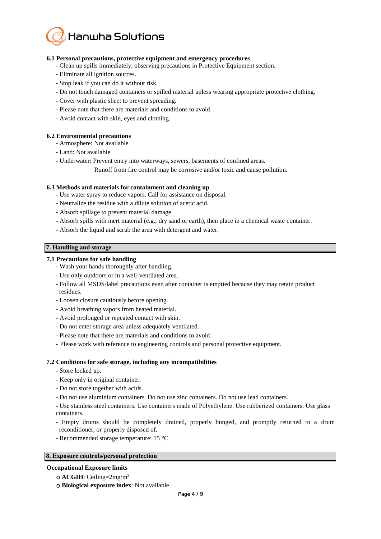

#### **6.1 Personal precautions, protective equipment and emergency procedures**

- Clean up spills immediately, observing precautions in Protective Equipment section.
- Eliminate all ignition sources.
- Stop leak if you can do it without risk.
- Do not touch damaged containers or spilled material unless wearing appropriate protective clothing.
- Cover with plastic sheet to prevent spreading.
- Please note that there are materials and conditions to avoid.
- Avoid contact with skin, eyes and clothing.

#### **6.2 Environmental precautions**

- Atmosphere: Not available
- Land: Not available
- Underwater: Prevent entry into waterways, sewers, basements of confined areas.

Runoff from fire control may be corrosive and/or toxic and cause pollution.

#### **6.3 Methods and materials for containment and cleaning up**

- Use water spray to reduce vapors. Call for assistance on disposal.
- Neutralize the residue with a dilute solution of acetic acid.
- Absorb spillage to prevent material damage.
- Absorb spills with inert material (e.g., dry sand or earth), then place in a chemical waste container.
- Absorb the liquid and scrub the area with detergent and water.

#### **7. Handling and storage**

#### **7.1 Precautions for safe handling**

- Wash your hands thoroughly after handling.
- Use only outdoors or in a well-ventilated area.
- Follow all MSDS/label precautions even after container is emptied because they may retain product residues.
- Loosen closure cautiously before opening.
- Avoid breathing vapors from heated material.
- Avoid prolonged or repeated contact with skin.
- Do not enter storage area unless adequately ventilated.
- Please note that there are materials and conditions to avoid.
- Please work with reference to engineering controls and personal protective equipment.

#### **7.2 Conditions for safe storage, including any incompatibilities**

- Store locked up.
- Keep only in original container.
- Do not store together with acids.
- Do not use aluminium containers. Do not use zinc containers. Do not use lead containers.

- Use stainless steel containers. Use containers made of Polyethylene. Use rubberized containers. Use glass containers.

- Empty drums should be completely drained, properly bunged, and promptly returned to a drum reconditioner, or properly disposed of.
- Recommended storage temperature: 15 °C

#### **8. Exposure controls/personal protection**

#### **Occupational Exposure limits**

- ο **ACGIH**: Ceiling=2mg/m<sup>3</sup>
- ο **Biological exposure index**: Not available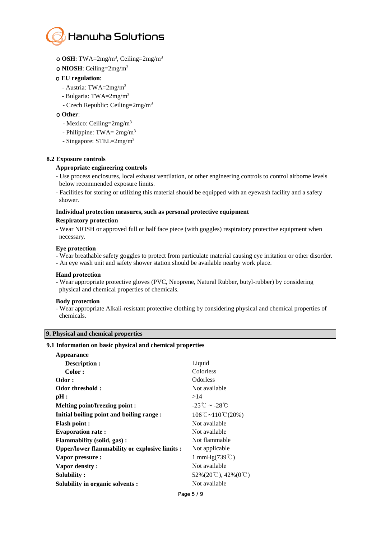

- ο **OSH**: TWA=2mg/m<sup>3</sup> , Ceiling=2mg/m<sup>3</sup>
- ο **NIOSH**: Ceiling=2mg/m<sup>3</sup>

#### ο **EU regulation**:

- Austria: TWA=2mg/m<sup>3</sup>
- Bulgaria: TWA=2mg/m<sup>3</sup>
- Czech Republic: Ceiling=2mg/m<sup>3</sup>

#### ο **Other**:

- Mexico: Ceiling=2mg/m<sup>3</sup>
- Philippine:  $TWA = 2mg/m^3$
- Singapore: STEL=2mg/m<sup>3</sup>

#### **8.2 Exposure controls**

#### **Appropriate engineering controls**

- Use process enclosures, local exhaust ventilation, or other engineering controls to control airborne levels below recommended exposure limits.
- Facilities for storing or utilizing this material should be equipped with an eyewash facility and a safety shower.

# **Individual protection measures, such as personal protective equipment**

### **Respiratory protection**

- Wear NIOSH or approved full or half face piece (with goggles) respiratory protective equipment when necessary.

#### **Eye protection**

- Wear breathable safety goggles to protect from particulate material causing eye irritation or other disorder.
- An eye wash unit and safety shower station should be available nearby work place.

#### **Hand protection**

- Wear appropriate protective gloves (PVC, Neoprene, Natural Rubber, butyl-rubber) by considering physical and chemical properties of chemicals.

#### **Body protection**

- Wear appropriate Alkali-resistant protective clothing by considering physical and chemical properties of chemicals.

#### **9. Physical and chemical properties**

#### **9.1 Information on basic physical and chemical properties**

| Appearance                                     |                                                   |
|------------------------------------------------|---------------------------------------------------|
| Description :                                  | Liquid                                            |
| Color:                                         | Colorless                                         |
| Odor:                                          | <b>Odorless</b>                                   |
| Odor threshold:                                | Not available                                     |
| pH:                                            | >14                                               |
| <b>Melting point/freezing point:</b>           | $-25^{\circ}$ C ~ $-28^{\circ}$ C                 |
| Initial boiling point and boiling range :      | $106^{\circ}$ C ~ $110^{\circ}$ C (20%)           |
| <b>Flash point:</b>                            | Not available                                     |
| <b>Evaporation rate:</b>                       | Not available                                     |
| <b>Flammability (solid, gas):</b>              | Not flammable                                     |
| Upper/lower flammability or explosive limits : | Not applicable                                    |
| Vapor pressure :                               | 1 mmHg $(739^{\circ}$ C)                          |
| Vapor density:                                 | Not available                                     |
| Solubility:                                    | $52\%(20\degree\text{C}), 42\%(0\degree\text{C})$ |
| Solubility in organic solvents :               | Not available                                     |
|                                                |                                                   |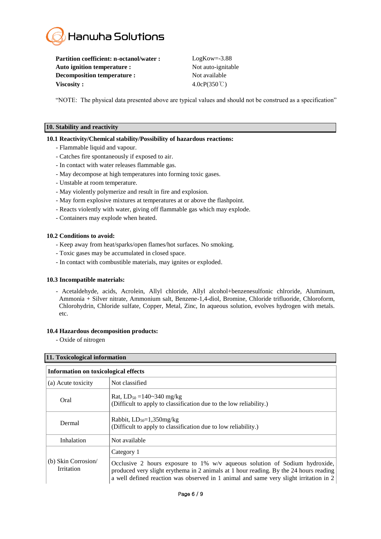

Partition coefficient: n-octanol/water : LogKow=-3.88 **Auto ignition temperature :** Not auto-ignitable **Decomposition temperature :** Not available **Viscosity :** 4.0cP(350 ℃)

"NOTE: The physical data presented above are typical values and should not be construed as a specification"

#### **10. Stability and reactivity**

#### **10.1 Reactivity/Chemical stability/Possibility of hazardous reactions:**

- Flammable liquid and vapour.
- Catches fire spontaneously if exposed to air.
- In contact with water releases flammable gas.
- May decompose at high temperatures into forming toxic gases.
- Unstable at room temperature.
- May violently polymerize and result in fire and explosion.
- May form explosive mixtures at temperatures at or above the flashpoint.
- Reacts violently with water, giving off flammable gas which may explode.
- Containers may explode when heated.

#### **10.2 Conditions to avoid:**

- Keep away from heat/sparks/open flames/hot surfaces. No smoking.
- Toxic gases may be accumulated in closed space.
- In contact with combustible materials, may ignites or exploded.

#### **10.3 Incompatible materials:**

- Acetaldehyde, acids, Acrolein, Allyl chloride, Allyl alcohol+benzenesulfonic chlroride, Aluminum, Ammonia + Silver nitrate, Ammonium salt, Benzene-1,4-diol, Bromine, Chloride trifluoride, Chloroform, Chlorohydrin, Chloride sulfate, Copper, Metal, Zinc, In aqueous solution, evolves hydrogen with metals. etc.

#### **10.4 Hazardous decomposition products:**

- Oxide of nitrogen

#### **11. Toxicological information**

| <b>Information on toxicological effects</b> |                                                                                                                                                                                                                                                                        |  |
|---------------------------------------------|------------------------------------------------------------------------------------------------------------------------------------------------------------------------------------------------------------------------------------------------------------------------|--|
| (a) Acute toxicity                          | Not classified                                                                                                                                                                                                                                                         |  |
| Oral                                        | Rat, $LD_{50} = 140 \times 340$ mg/kg<br>(Difficult to apply to classification due to the low reliability.)                                                                                                                                                            |  |
| Dermal                                      | Rabbit, $LD_{50}=1,350$ mg/kg<br>(Difficult to apply to classification due to low reliability.)                                                                                                                                                                        |  |
| Inhalation                                  | Not available                                                                                                                                                                                                                                                          |  |
| (b) Skin Corrosion<br><b>Irritation</b>     | Category 1                                                                                                                                                                                                                                                             |  |
|                                             | Occlusive 2 hours exposure to $1\%$ w/v aqueous solution of Sodium hydroxide,<br>produced very slight erythema in 2 animals at 1 hour reading. By the 24 hours reading<br>a well defined reaction was observed in 1 animal and same very slight irritation in $2 \mid$ |  |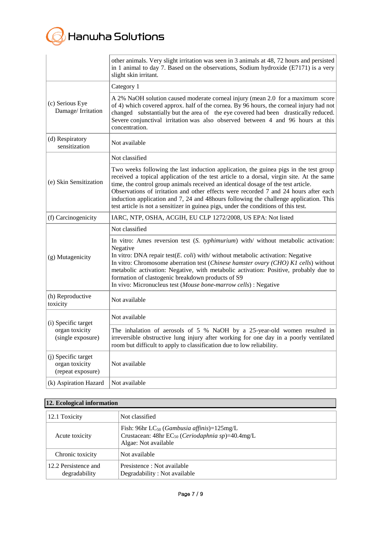# **B** Hanwha Solutions

|                                                            | other animals. Very slight irritation was seen in 3 animals at 48, 72 hours and persisted<br>in 1 animal to day 7. Based on the observations, Sodium hydroxide $(E7171)$ is a very<br>slight skin irritant.                                                                                                                                                                                                                                                                                                                                     |
|------------------------------------------------------------|-------------------------------------------------------------------------------------------------------------------------------------------------------------------------------------------------------------------------------------------------------------------------------------------------------------------------------------------------------------------------------------------------------------------------------------------------------------------------------------------------------------------------------------------------|
|                                                            | Category 1                                                                                                                                                                                                                                                                                                                                                                                                                                                                                                                                      |
| (c) Serious Eye<br>Damage/Irritation                       | A 2% NaOH solution caused moderate corneal injury (mean 2.0 for a maximum score<br>of 4) which covered approx. half of the cornea. By 96 hours, the corneal injury had not<br>changed substantially but the area of the eye covered had been drastically reduced.<br>Severe conjunctival irritation was also observed between 4 and 96 hours at this<br>concentration.                                                                                                                                                                          |
| (d) Respiratory<br>sensitization                           | Not available                                                                                                                                                                                                                                                                                                                                                                                                                                                                                                                                   |
|                                                            | Not classified                                                                                                                                                                                                                                                                                                                                                                                                                                                                                                                                  |
| (e) Skin Sensitization                                     | Two weeks following the last induction application, the guinea pigs in the test group<br>received a topical application of the test article to a dorsal, virgin site. At the same<br>time, the control group animals received an identical dosage of the test article.<br>Observations of irritation and other effects were recorded 7 and 24 hours after each<br>induction application and 7, 24 and 48 hours following the challenge application. This<br>test article is not a sensitizer in guinea pigs, under the conditions of this test. |
| (f) Carcinogenicity                                        | IARC, NTP, OSHA, ACGIH, EU CLP 1272/2008, US EPA: Not listed                                                                                                                                                                                                                                                                                                                                                                                                                                                                                    |
|                                                            | Not classified                                                                                                                                                                                                                                                                                                                                                                                                                                                                                                                                  |
| (g) Mutagenicity                                           | In vitro: Ames reversion test (S. typhimurium) with/ without metabolic activation:<br>Negative<br>In vitro: DNA repair test( $E.$ coli) with/ without metabolic activation: Negative<br>In vitro: Chromosome aberration test (Chinese hamster ovary (CHO) K1 cells) without<br>metabolic activation: Negative, with metabolic activation: Positive, probably due to<br>formation of clastogenic breakdown products of S9<br>In vivo: Micronucleus test (Mouse bone-marrow cells) : Negative                                                     |
| (h) Reproductive<br>toxicity                               | Not available                                                                                                                                                                                                                                                                                                                                                                                                                                                                                                                                   |
| (i) Specific target<br>organ toxicity<br>(single exposure) | Not available                                                                                                                                                                                                                                                                                                                                                                                                                                                                                                                                   |
|                                                            | The inhalation of aerosols of 5 % NaOH by a 25-year-old women resulted in<br>irreversible obstructive lung injury after working for one day in a poorly ventilated<br>room but difficult to apply to classification due to low reliability.                                                                                                                                                                                                                                                                                                     |
| (j) Specific target<br>organ toxicity<br>(repeat exposure) | Not available                                                                                                                                                                                                                                                                                                                                                                                                                                                                                                                                   |
| (k) Aspiration Hazard                                      | Not available                                                                                                                                                                                                                                                                                                                                                                                                                                                                                                                                   |

### **12. Ecological information**

| 12.1 Toxicity                         | Not classified                                                                                                                                        |  |
|---------------------------------------|-------------------------------------------------------------------------------------------------------------------------------------------------------|--|
| Acute toxicity                        | Fish: 96hr $LC_{50}$ ( <i>Gambusia affinis</i> )= $125mg/L$<br>Crustacean: 48hr $EC_{50}$ ( <i>Ceriodaphnia sp</i> )=40.4mg/L<br>Algae: Not available |  |
| Chronic toxicity                      | Not available                                                                                                                                         |  |
| 12.2 Persistence and<br>degradability | Presistence : Not available<br>Degradability: Not available                                                                                           |  |

I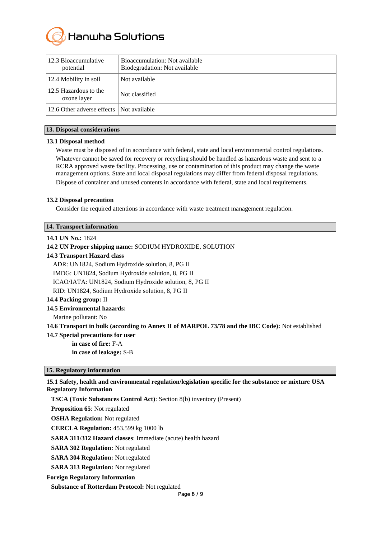

| 12.3 Bioaccumulative<br>potential        | Bioaccumulation: Not available<br>Biodegradation: Not available |
|------------------------------------------|-----------------------------------------------------------------|
| 12.4 Mobility in soil                    | Not available                                                   |
| 12.5 Hazardous to the<br>ozone layer     | Not classified                                                  |
| 12.6 Other adverse effects Not available |                                                                 |

#### **13. Disposal considerations**

#### **13.1 Disposal method**

Waste must be disposed of in accordance with federal, state and local environmental control regulations. Whatever cannot be saved for recovery or recycling should be handled as hazardous waste and sent to a RCRA approved waste facility. Processing, use or contamination of this product may change the waste management options. State and local disposal regulations may differ from federal disposal regulations. Dispose of container and unused contents in accordance with federal, state and local requirements.

#### **13.2 Disposal precaution**

Consider the required attentions in accordance with waste treatment management regulation.

#### **14. Transport information**

#### **14.1 UN No.:** 1824

**14.2 UN Proper shipping name:** SODIUM HYDROXIDE, SOLUTION **14.3 Transport Hazard class**  ADR: UN1824, Sodium Hydroxide solution, 8, PG II IMDG: UN1824, Sodium Hydroxide solution, 8, PG II ICAO/IATA: UN1824, Sodium Hydroxide solution, 8, PG II RID: UN1824, Sodium Hydroxide solution, 8, PG II

#### **14.4 Packing group:** II

**14.5 Environmental hazards:** 

Marine pollutant: No

**14.6 Transport in bulk (according to Annex II of MARPOL 73/78 and the IBC Code):** Not established

**14.7 Special precautions for user**

**in case of fire:** F-A **in case of leakage:** S-B

#### **15. Regulatory information**

#### **15.1 Safety, health and environmental regulation/legislation specific for the substance or mixture USA Regulatory Information**

**TSCA (Toxic Substances Control Act)**: Section 8(b) inventory (Present)

**Proposition 65**: Not regulated

**OSHA Regulation:** Not regulated

**CERCLA Regulation:** 453.599 kg 1000 lb

**SARA 311/312 Hazard classes**: Immediate (acute) health hazard

**SARA 302 Regulation:** Not regulated

**SARA 304 Regulation:** Not regulated

**SARA 313 Regulation:** Not regulated

**Foreign Regulatory Information**

**Substance of Rotterdam Protocol:** Not regulated